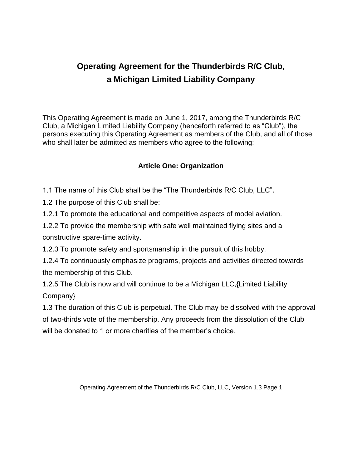# **Operating Agreement for the Thunderbirds R/C Club, a Michigan Limited Liability Company**

This Operating Agreement is made on June 1, 2017, among the Thunderbirds R/C Club, a Michigan Limited Liability Company (henceforth referred to as "Club"), the persons executing this Operating Agreement as members of the Club, and all of those who shall later be admitted as members who agree to the following:

### **Article One: Organization**

1.1 The name of this Club shall be the "The Thunderbirds R/C Club, LLC".

1.2 The purpose of this Club shall be:

1.2.1 To promote the educational and competitive aspects of model aviation.

1.2.2 To provide the membership with safe well maintained flying sites and a constructive spare-time activity.

1.2.3 To promote safety and sportsmanship in the pursuit of this hobby.

1.2.4 To continuously emphasize programs, projects and activities directed towards the membership of this Club.

1.2.5 The Club is now and will continue to be a Michigan LLC,{Limited Liability Company}

1.3 The duration of this Club is perpetual. The Club may be dissolved with the approval of two-thirds vote of the membership. Any proceeds from the dissolution of the Club will be donated to 1 or more charities of the member's choice.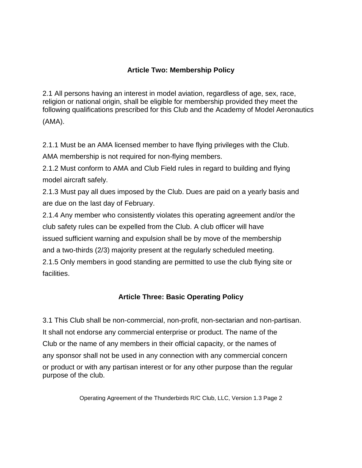# **Article Two: Membership Policy**

2.1 All persons having an interest in model aviation, regardless of age, sex, race, religion or national origin, shall be eligible for membership provided they meet the following qualifications prescribed for this Club and the Academy of Model Aeronautics (AMA).

2.1.1 Must be an AMA licensed member to have flying privileges with the Club.

AMA membership is not required for non-flying members.

2.1.2 Must conform to AMA and Club Field rules in regard to building and flying model aircraft safely.

2.1.3 Must pay all dues imposed by the Club. Dues are paid on a yearly basis and are due on the last day of February.

2.1.4 Any member who consistently violates this operating agreement and/or the club safety rules can be expelled from the Club. A club officer will have issued sufficient warning and expulsion shall be by move of the membership and a two-thirds (2/3) majority present at the regularly scheduled meeting. 2.1.5 Only members in good standing are permitted to use the club flying site or facilities.

# **Article Three: Basic Operating Policy**

3.1 This Club shall be non-commercial, non-profit, non-sectarian and non-partisan. It shall not endorse any commercial enterprise or product. The name of the Club or the name of any members in their official capacity, or the names of any sponsor shall not be used in any connection with any commercial concern or product or with any partisan interest or for any other purpose than the regular purpose of the club.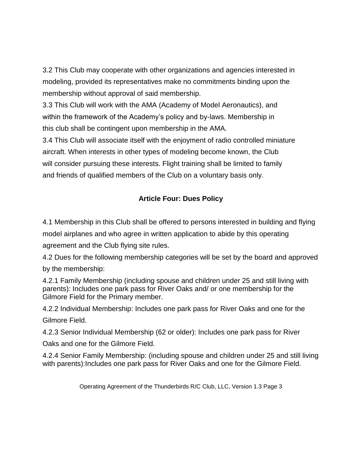3.2 This Club may cooperate with other organizations and agencies interested in modeling, provided its representatives make no commitments binding upon the membership without approval of said membership.

3.3 This Club will work with the AMA (Academy of Model Aeronautics), and within the framework of the Academy's policy and by-laws. Membership in this club shall be contingent upon membership in the AMA.

3.4 This Club will associate itself with the enjoyment of radio controlled miniature aircraft. When interests in other types of modeling become known, the Club will consider pursuing these interests. Flight training shall be limited to family and friends of qualified members of the Club on a voluntary basis only.

# **Article Four: Dues Policy**

4.1 Membership in this Club shall be offered to persons interested in building and flying model airplanes and who agree in written application to abide by this operating

agreement and the Club flying site rules.

4.2 Dues for the following membership categories will be set by the board and approved by the membership:

4.2.1 Family Membership (including spouse and children under 25 and still living with parents): Includes one park pass for River Oaks and/ or one membership for the Gilmore Field for the Primary member.

4.2.2 Individual Membership: Includes one park pass for River Oaks and one for the Gilmore Field.

4.2.3 Senior Individual Membership (62 or older): Includes one park pass for River

Oaks and one for the Gilmore Field.

4.2.4 Senior Family Membership: (including spouse and children under 25 and still living with parents):Includes one park pass for River Oaks and one for the Gilmore Field.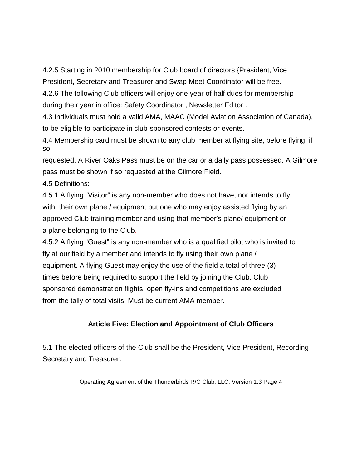4.2.5 Starting in 2010 membership for Club board of directors {President, Vice President, Secretary and Treasurer and Swap Meet Coordinator will be free.

4.2.6 The following Club officers will enjoy one year of half dues for membership during their year in office: Safety Coordinator , Newsletter Editor .

4.3 Individuals must hold a valid AMA, MAAC (Model Aviation Association of Canada), to be eligible to participate in club-sponsored contests or events.

4.4 Membership card must be shown to any club member at flying site, before flying, if so

requested. A River Oaks Pass must be on the car or a daily pass possessed. A Gilmore pass must be shown if so requested at the Gilmore Field.

4.5 Definitions:

4.5.1 A flying "Visitor" is any non-member who does not have, nor intends to fly with, their own plane / equipment but one who may enjoy assisted flying by an approved Club training member and using that member's plane/ equipment or a plane belonging to the Club.

4.5.2 A flying "Guest" is any non-member who is a qualified pilot who is invited to fly at our field by a member and intends to fly using their own plane / equipment. A flying Guest may enjoy the use of the field a total of three (3) times before being required to support the field by joining the Club. Club sponsored demonstration flights; open fly-ins and competitions are excluded from the tally of total visits. Must be current AMA member.

# **Article Five: Election and Appointment of Club Officers**

5.1 The elected officers of the Club shall be the President, Vice President, Recording Secretary and Treasurer.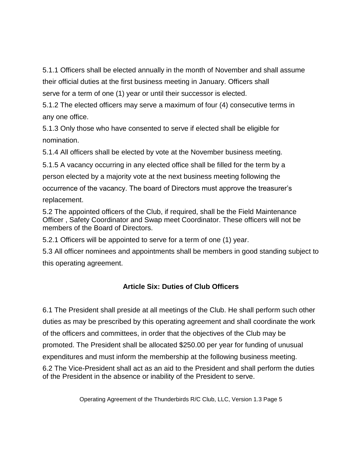5.1.1 Officers shall be elected annually in the month of November and shall assume their official duties at the first business meeting in January. Officers shall serve for a term of one (1) year or until their successor is elected.

5.1.2 The elected officers may serve a maximum of four (4) consecutive terms in any one office.

5.1.3 Only those who have consented to serve if elected shall be eligible for nomination.

5.1.4 All officers shall be elected by vote at the November business meeting.

5.1.5 A vacancy occurring in any elected office shall be filled for the term by a person elected by a majority vote at the next business meeting following the occurrence of the vacancy. The board of Directors must approve the treasurer's replacement.

5.2 The appointed officers of the Club, if required, shall be the Field Maintenance Officer , Safety Coordinator and Swap meet Coordinator. These officers will not be members of the Board of Directors.

5.2.1 Officers will be appointed to serve for a term of one (1) year.

5.3 All officer nominees and appointments shall be members in good standing subject to this operating agreement.

# **Article Six: Duties of Club Officers**

6.1 The President shall preside at all meetings of the Club. He shall perform such other duties as may be prescribed by this operating agreement and shall coordinate the work of the officers and committees, in order that the objectives of the Club may be promoted. The President shall be allocated \$250.00 per year for funding of unusual expenditures and must inform the membership at the following business meeting.

6.2 The Vice-President shall act as an aid to the President and shall perform the duties of the President in the absence or inability of the President to serve.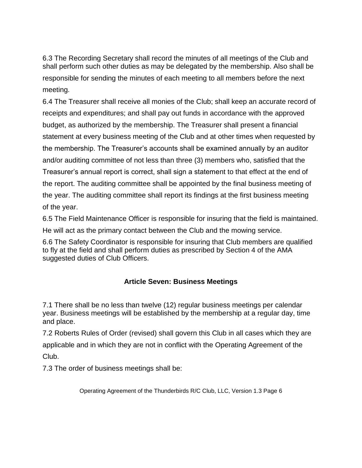6.3 The Recording Secretary shall record the minutes of all meetings of the Club and shall perform such other duties as may be delegated by the membership. Also shall be responsible for sending the minutes of each meeting to all members before the next meeting.

6.4 The Treasurer shall receive all monies of the Club; shall keep an accurate record of receipts and expenditures; and shall pay out funds in accordance with the approved budget, as authorized by the membership. The Treasurer shall present a financial statement at every business meeting of the Club and at other times when requested by the membership. The Treasurer's accounts shall be examined annually by an auditor and/or auditing committee of not less than three (3) members who, satisfied that the Treasurer's annual report is correct, shall sign a statement to that effect at the end of the report. The auditing committee shall be appointed by the final business meeting of the year. The auditing committee shall report its findings at the first business meeting of the year.

6.5 The Field Maintenance Officer is responsible for insuring that the field is maintained. He will act as the primary contact between the Club and the mowing service.

6.6 The Safety Coordinator is responsible for insuring that Club members are qualified to fly at the field and shall perform duties as prescribed by Section 4 of the AMA suggested duties of Club Officers.

### **Article Seven: Business Meetings**

7.1 There shall be no less than twelve (12) regular business meetings per calendar year. Business meetings will be established by the membership at a regular day, time and place.

7.2 Roberts Rules of Order (revised) shall govern this Club in all cases which they are applicable and in which they are not in conflict with the Operating Agreement of the Club.

7.3 The order of business meetings shall be: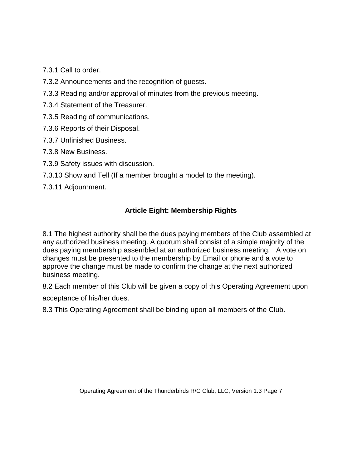7.3.1 Call to order.

- 7.3.2 Announcements and the recognition of guests.
- 7.3.3 Reading and/or approval of minutes from the previous meeting.
- 7.3.4 Statement of the Treasurer.
- 7.3.5 Reading of communications.
- 7.3.6 Reports of their Disposal.
- 7.3.7 Unfinished Business.
- 7.3.8 New Business.
- 7.3.9 Safety issues with discussion.
- 7.3.10 Show and Tell (If a member brought a model to the meeting).
- 7.3.11 Adjournment.

### **Article Eight: Membership Rights**

8.1 The highest authority shall be the dues paying members of the Club assembled at any authorized business meeting. A quorum shall consist of a simple majority of the dues paying membership assembled at an authorized business meeting. A vote on changes must be presented to the membership by Email or phone and a vote to approve the change must be made to confirm the change at the next authorized business meeting.

8.2 Each member of this Club will be given a copy of this Operating Agreement upon acceptance of his/her dues.

8.3 This Operating Agreement shall be binding upon all members of the Club.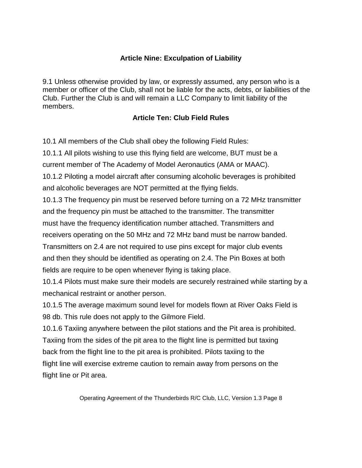### **Article Nine: Exculpation of Liability**

9.1 Unless otherwise provided by law, or expressly assumed, any person who is a member or officer of the Club, shall not be liable for the acts, debts, or liabilities of the Club. Further the Club is and will remain a LLC Company to limit liability of the members.

### **Article Ten: Club Field Rules**

10.1 All members of the Club shall obey the following Field Rules:

10.1.1 All pilots wishing to use this flying field are welcome, BUT must be a current member of The Academy of Model Aeronautics (AMA or MAAC).

10.1.2 Piloting a model aircraft after consuming alcoholic beverages is prohibited and alcoholic beverages are NOT permitted at the flying fields.

10.1.3 The frequency pin must be reserved before turning on a 72 MHz transmitter and the frequency pin must be attached to the transmitter. The transmitter must have the frequency identification number attached. Transmitters and receivers operating on the 50 MHz and 72 MHz band must be narrow banded. Transmitters on 2.4 are not required to use pins except for major club events and then they should be identified as operating on 2.4. The Pin Boxes at both

fields are require to be open whenever flying is taking place.

10.1.4 Pilots must make sure their models are securely restrained while starting by a mechanical restraint or another person.

10.1.5 The average maximum sound level for models flown at River Oaks Field is 98 db. This rule does not apply to the Gilmore Field.

10.1.6 Taxiing anywhere between the pilot stations and the Pit area is prohibited. Taxiing from the sides of the pit area to the flight line is permitted but taxing back from the flight line to the pit area is prohibited. Pilots taxiing to the flight line will exercise extreme caution to remain away from persons on the flight line or Pit area.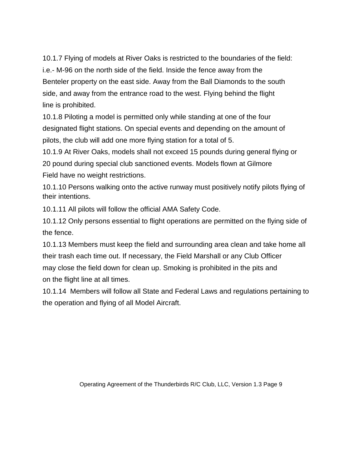10.1.7 Flying of models at River Oaks is restricted to the boundaries of the field: i.e.- M-96 on the north side of the field. Inside the fence away from the Benteler property on the east side. Away from the Ball Diamonds to the south side, and away from the entrance road to the west. Flying behind the flight line is prohibited.

10.1.8 Piloting a model is permitted only while standing at one of the four designated flight stations. On special events and depending on the amount of pilots, the club will add one more flying station for a total of 5.

10.1.9 At River Oaks, models shall not exceed 15 pounds during general flying or 20 pound during special club sanctioned events. Models flown at Gilmore Field have no weight restrictions.

10.1.10 Persons walking onto the active runway must positively notify pilots flying of their intentions.

10.1.11 All pilots will follow the official AMA Safety Code.

10.1.12 Only persons essential to flight operations are permitted on the flying side of the fence.

10.1.13 Members must keep the field and surrounding area clean and take home all their trash each time out. If necessary, the Field Marshall or any Club Officer may close the field down for clean up. Smoking is prohibited in the pits and on the flight line at all times.

10.1.14 Members will follow all State and Federal Laws and regulations pertaining to the operation and flying of all Model Aircraft.